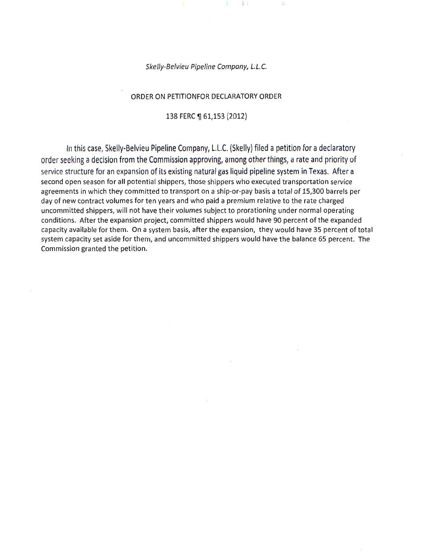#### Skelly-Belvieu Pipeline Company, L.L.C.

X.

 $\mathbf{H}$ 

Ш

#### ORDER ON PETITIONFOR DECLARATORY ORDER

#### 138 FERC ¶ 61,153 (2012)

In this case, Skelly-Belvieu Pipeline Company, L.L.C. (Skelly) filed a petition for a declaratory order seeking a decision from the Commission approving, among other things, a rate and priority of service structure for an expansion of its existing natural gas liquid pipeline system in Texas. After a second open season for all potential shippers, those shippers who executed transportation service agreements in which they committed to transport on a ship-or-pay basis a total of 15,300 barrels per day of new contract volumes for ten years and who paid a premium relative to the rate charged uncommitted shippers, will not have their volumes subject to prorationing under normal operating conditions. After the expansion project, committed shippers would have 90 percent of the expanded capacity available for them. On a system basis, after the expansion, they would have 35 percent of total system capacity set aside for them, and uncommitted shippers would have the balance 65 percent. The Commission granted the petition.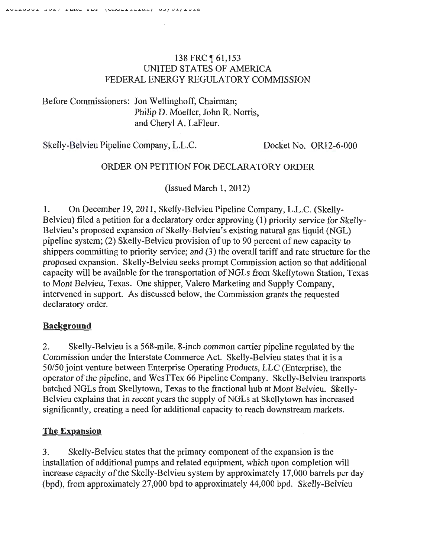## 138 FRC 161,153 UNITED STATES OF AMERICA FEDERAL ENERGY REGULATORY COMMISSION

## Before Commissioners: Jon Wellinghoff, Chairman; Philip D. Moeller, John R. Norris, and Cheryl A. LaFleur.

Skelly-Belvieu Pipeline Company, L.L.C. Docket No. OR12-6-000

### ORDER ON PETITION FOR DECLARATORY ORDER

(Issued March 1, 2012)

1. On December 19, 2011, Skelly-Belvieu Pipeline Company, L.L.C. (Skelly-Belvieu) filed a petition for a declaratory order approving (1) priority service for Skelly-Belvieu's proposed expansion of Skelly-Belvieu's existing natural gas liquid (NGL) pipeline system; (2) Skelly-Belvieu provision of up to 90 percent of new capacity to shippers committing to priority service; and (3) the overall tariff and rate structure for the proposed expansion. Skelly-Belvieu seeks prompt Commission action so that additional capacity will be available for the transportation of NGLs from Skellytown Station, Texas to Mont Belvieu, Texas. One shipper, Valero Marketing and Supply Company, intervened in support. As discussed below, the Commission grants the requested declaratory order.

### Background

2. Skelly-Belvieu is a 568-mile, 8-inch common carrier pipeline regulated by the Commission under the Interstate Commerce Act. Skelly-Belvieu states that it is a 50150 joint venture between Enterprise Operating Products, LLC (Enterprise), the operator of the pipeline, and WesTTex 66 Pipeline Company. Skelly-Belvieu transports hatched NGLs from Skellytown, Texas to the fractional hub at Mont Belvieu. Skelly-Belvieu explains that in recent years the supply of NGLs at Skellytown has increased significantly, creating a need for additional capacity to reach downstream markets.

# The Expansion

3. Skelly-Belvieu states that the primary component of the expansion is the installation of additional pumps and related equipment, which upon completion will increase capacity of the Skelly-Belvieu system by approximately 17,000 barrels per day (bpd), from approximately 27,000 bpd to approximately 44,000 bpd. Skelly-Belvieu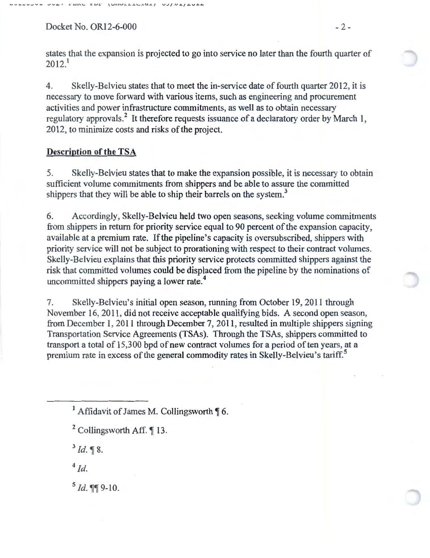Docket No. OR12-6-000 - 2 -

states that the expansion is projected to go into service no later than the fourth quarter of  $2012.<sup>1</sup>$ 

4. Skelly-Belvieu states that to meet the in-service date of fourth quarter 2012, it is necessary to move forward with various items, such as engineering and procurement activities and power infrastructure commitments, as well as to obtain necessary regulatory approvals.<sup>2</sup> It therefore requests issuance of a declaratory order by March 1, 2012, to minimize costs and risks of the project.

### Description of the TSA

5. Skelly-Belvieu states that to make the expansion possible, it is necessary to obtain sufficient volume commitments from shippers and be able to assure the committed shippers that they will be able to ship their barrels on the system.<sup>3</sup>

6. Accordingly, Skelly-Belvieu held two open seasons, seeking volume commitments from shippers in return for priority service equal to 90 percent of the expansion capacity, available at a premium rate. If the pipeline's capacity is oversubscribed, shippers with priority service will not be subject to prorationing with respect to their contract volumes. Skelly-Belvieu explains that this priority service protects committed shippers against the risk that committed volumes could be displaced from the pipeline by the nominations of uncommitted shippers paying a lower rate.<sup>4</sup>

7. Skelly-Belvieu's initial open season, running from October 19, 2011 through November 16, 2011, did not receive acceptable qualifying bids. A second open season, from December 1, 2011 through December 7, 2011, resulted in multiple shippers signing Transportation Service Agreements (TSAs). Through the TSAs, shippers committed to transport a total of 15,300 bpd of new contract volumes for a period often years, at a premium rate in excess of the general commodity rates in Skelly-Belvieu's tariff.<sup>5</sup>

 $3$  *Id.*  $\sqrt[3]{8}$ .

 $4$   $Id.$ 

 $5$  Id.  $\P$ 9-10.

<sup>&</sup>lt;sup>1</sup> Affidavit of James M. Collingsworth  $\P$  6.

 $2$  Collingsworth Aff.  $\P$  13.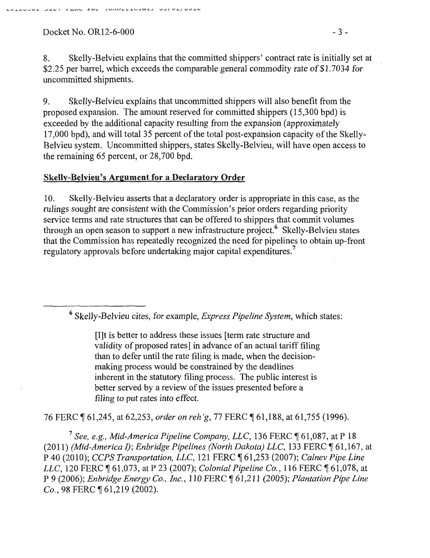$Docket No. OR12-6-000$  - 3 -

8. Skelly-Belvieu explains that the committed shippers' contract rate is initially set at \$2.25 per barrel, which exceeds the comparable general commodity rate of \$1.7034 for uncommitted shipments.

9. Skelly-Belvieu explains that uncommitted shippers will also benefit from the proposed expansion. The amount reserved for committed shippers (15,300 bpd) is exceeded by the additional capacity resulting from the expansion (approximately 17,000 bpd), and will total 35 percent of the total post-expansion capacity of the Skelly-Belvieu system. Uncommitted shippers, states Skelly-Belvieu, will have open access to the remaining 65 percent, or 28,700 bpd.

### Skelly-Belvieu's Argument for a Declaratory Order

10. Skelly-Belvieu asserts that a declaratory order is appropriate in this case, as the rulings sought are consistent with the Commission's prior orders regarding priority service terms and rate structures that can be offered to shippers that commit volumes through an open season to support a new infrastructure project.<sup>6</sup> Skelly-Belvieu states that the Commission has repeatedly recognized the need for pipelines to obtain up-front regulatory approvals before undertaking major capital expenditures.<sup>7</sup>

6 Skelly-Belvieu cites, for example, *Express Pipeline System,* which states:

[I]t is better to address these issues [term rate structure and validity of proposed rates] in advance of an actual tariff filing than to defer until the rate filing is made, when the decisionmaking process would be constrained by the deadlines inherent in the statutory filing process. The public interest is better served by a review of the issues presented before a filing to put rates into effect.

76 FERC ¶ 61,245, at 62,253, *order on reh'g*, 77 FERC ¶ 61,188, at 61,755 (1996).

<sup>7</sup> See, e.g., Mid-America Pipeline Company, LLC, 136 FERC ¶ 61,087, at P 18 (2011) *(Mid-America I)*; *Enbridge Pipelines (North Dakota) LLC*, 133 FERC ¶ 61,167, at P 40 (2010); *CCPS Transportation, LLC,* 121 FERC ~ 61,253 (2007); *Calnev Pipe Line LLC*, 120 FERC ¶ 61,073, at P 23 (2007); *Colonial Pipeline Co.*, 116 FERC ¶ 61,078, at P 9 (2006); *En bridge Energy Co., Inc.,* 110 FERC ~ 61,211 (2005); *Plantation Pipe Line Co.*, 98 FERC  $\sqrt{61,219}$  (2002)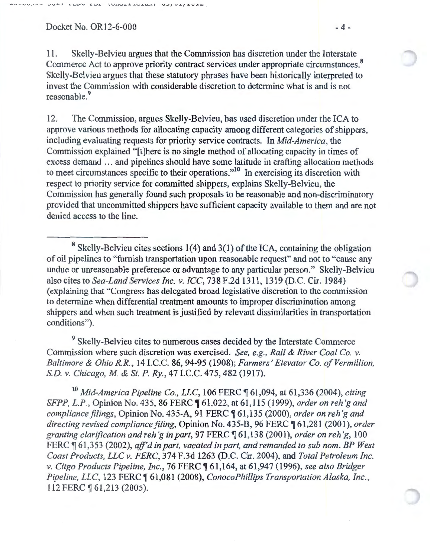$Docket No. OR12-6-000$  - 4 -

11. Skelly-Belvieu argues that the Commission has discretion under the Interstate Commerce Act to approve priority contract services under appropriate circumstances. 8 Skelly-Belvieu argues that these statutory phrases have been historically interpreted to invest the Commission with considerable discretion to determine what is and is not reasonable.<sup>9</sup>

12. The Commission, argues Skelly-Belvieu, has used discretion under the ICA to approve various methods for allocating capacity among different categories of shippers, including evaluating requests for priority service contracts. In *Mid-America,* the Commission explained "[t]here is no single method of allocating capacity in times of excess demand ... and pipelines should have some latitude in crafting allocation methods to meet circumstances specific to their operations."<sup>10</sup> In exercising its discretion with respect to priority service for committed shippers, explains Skelly-Belvieu, the Commission has generally found such proposals to be reasonable and non-discriminatory provided that uncommitted shippers have sufficient capacity available to them and are not denied access to the line.

8 Skelly-Belvieu cites sections 1(4) and 3(1) of the ICA, containing the obligation of oil pipelines to "furnish transportation upon reasonable request" and not to "cause any undue or unreasonable preference or advantage to any particular person." Skelly-Belvieu also cites to *Sea-Land Services Inc. v. ICC,* 738 F.2d 1311, 1319 (D.C. Cir. 1984) (explaining that "Congress has delegated broad legislative discretion to the commission to determine when differential treatment amounts to improper discrimination among shippers and when such treatment is justified by relevant dissimilarities in transportation conditions").

9 Skelly-Belvieu cites to numerous cases decided by the Interstate Commerce Commission where such discretion was exercised. *See, e.g., Rail* & *River Coal Co. v. Baltimore & Ohio R.R., 14 I.C.C. 86, 94-95 (1908); Farmers' Elevator Co. of Vermillion, S.D. v. Chicago, M* & *St. P. Ry.,* 47 I.C.C. 475,482 (1917).

<sup>10</sup> Mid-America Pipeline Co., LLC, 106 FERC ¶ 61,094, at 61,336 (2004), *citing SFPP, L.P., Opinion No.* 435, 86 FERC  $\parallel$  61,022, at 61,115 (1999), *order on reh'g and compliance filings,* Opinion No. 435-A, 91 FERC ~ 61,135 (2000), *order on reh 'g and directing revised compliance filing,* Opinion No. 435-B, 96 FERC ~ 61,281 (2001), *order granting clarification and reh 'gin part,* 97 FERC ~ 61,138 (2001), *order on reh 'g,* 100 FERC  $\llbracket 61,353$  (2002), *aff'd in part, vacated in part, and remanded to sub nom. BP West Coast Products, LLC v. FERC,* 374 F.3d 1263 (D.C. Cir. 2004), and *Total Petroleum Inc. v. Citgo Products Pipeline, Inc.,* 76 FERC ~ 61 ,164, at 61,947 (1996), *see also Bridger Pipeline, LLC, 123 FERC*  $\text{\$\frac{61,081}{2008}}$ , *ConocoPhillips Transportation Alaska, Inc.,* 112 FERC  $\sqrt{61,213}$  (2005).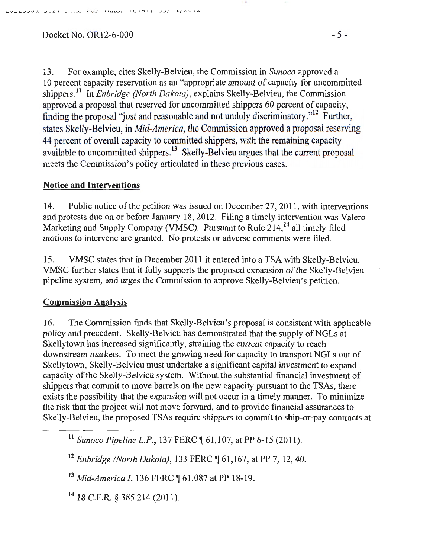$L_{\text{L}}$  ...Let  $L_{\text{L}}$  ...,  $L_{\text{L}}$  ...,  $L_{\text{L}}$  ...,  $L_{\text{L}}$ 

13. For example, cites Skelly-Belvieu, the Commission in *Sunoco* approved a 10 percent capacity reservation as an "appropriate amount of capacity for uncommitted shippers.<sup>11</sup> In *Enbridge (North Dakota)*, explains Skelly-Belvieu, the Commission approved a proposal that reserved for uncommitted shippers 60 percent of capacity, finding the proposal "just and reasonable and not unduly discriminatory."<sup>12</sup> Further, states Skelly-Belvieu, in *Mid-America,* the Commission approved a proposal reserving 44 percent of overall capacity to committed shippers, with the remaining capacity available to uncommitted shippers.<sup>13</sup> Skelly-Belvieu argues that the current proposal meets the Commission's policy articulated in these previous cases.

# Notice and Interventions

14. Public notice of the petition was issued on December 27, 2011, with interventions and protests due on or before January 18, 2012. Filing a timely intervention was Valero Marketing and Supply Company (VMSC). Pursuant to Rule 214,<sup>14</sup> all timely filed motions to intervene are granted. No protests or adverse comments were filed.

15. VMSC states that in December 2011 it entered into a TSA with Skelly-Belvieu. VMSC further states that it fully supports the proposed expansion of the Skelly-Belvieu pipeline system, and urges the Commission to approve Skelly-Belvieu's petition.

# Commission Analysis

16. The Commission finds that Skelly-Belvieu's proposal is consistent with applicable policy and precedent. Skelly-Belvieu has demonstrated that the supply of NGLs at Skellytown has increased significantly, straining the current capacity to reach downstream markets. To meet the growing need for capacity to transport NGLs out of Skellytown, Skelly-Belvieu must undertake a significant capital investment to expand capacity of the Skelly-Belvieu system. Without the substantial financial investment of shippers that commit to move barrels on the new capacity pursuant to the TSAs, there exists the possibility that the expansion will not occur in a timely manner. To minimize the risk that the project will not move forward, and to provide financial assurances to Skelly-Belvieu, the proposed TSAs require shippers to commit to ship-or-pay contracts at

<sup>11</sup> Sunoco Pipeline L.P., 137 FERC ¶ 61,107, at PP 6-15 (2011).

<sup>12</sup> Enbridge (North Dakota), 133 FERC ¶ 61,167, at PP 7, 12, 40.

<sup>13</sup> Mid-America I, 136 FERC ¶ 61,087 at PP 18-19.

14 18 C.F.R. § 385.214 (2011).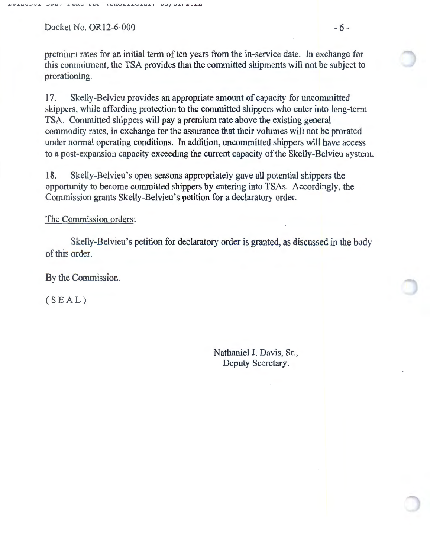$Docket No. OR12-6-000$  - 6 -

premium rates for an initial term of ten years from the in-service date. In exchange for this commitment, the TSA provides that the committed shipments will not be subject to prorationing.

17. Skelly-Belvieu provides an appropriate amount of capacity for uncommitted shippers, while affording protection to the committed shippers who enter into long-term TSA. Committed shippers will pay a premium rate above the existing general commodity rates, in exchange for the assurance that their volumes will not be prorated under normal operating conditions. In addition, uncommitted shippers will have access to a post-expansion capacity exceeding the current capacity of the Skelly-Belvieu system.

18. Skelly-Belvieu's open seasons appropriately gave all potential shippers the opportunity to become committed shippers by entering into TSAs. Accordingly, the Commission grants Skelly-Belvieu's petition for a declaratory order.

#### The Commission orders:

Skelly-Belvieu's petition for declaratory order is granted, as discussed in the body of this order.

By the Commission.

 $(SEAL)$ 

Nathaniel J. Davis, Sr., Deputy Secretary.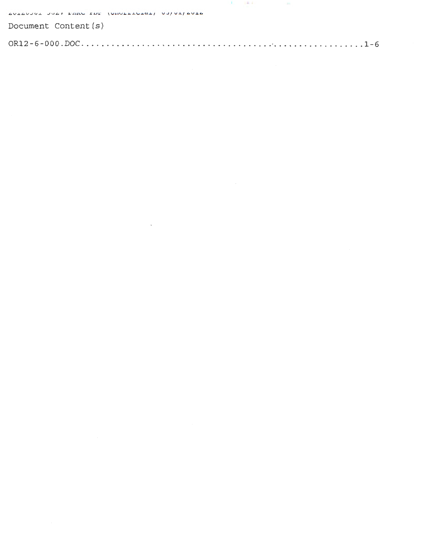| AUTOVOUL JUAN FERO EDE (UNULLICIAL) UJ/UL/AUTA |  |  |
|------------------------------------------------|--|--|
| Document Content (s)                           |  |  |
|                                                |  |  |

 $\label{eq:2.1} \frac{1}{2} \sum_{i=1}^n \frac{1}{2} \sum_{j=1}^n \frac{1}{2} \sum_{j=1}^n \frac{1}{2} \sum_{j=1}^n \frac{1}{2} \sum_{j=1}^n \frac{1}{2} \sum_{j=1}^n \frac{1}{2} \sum_{j=1}^n \frac{1}{2} \sum_{j=1}^n \frac{1}{2} \sum_{j=1}^n \frac{1}{2} \sum_{j=1}^n \frac{1}{2} \sum_{j=1}^n \frac{1}{2} \sum_{j=1}^n \frac{1}{2} \sum_{j=1}^n \frac{$